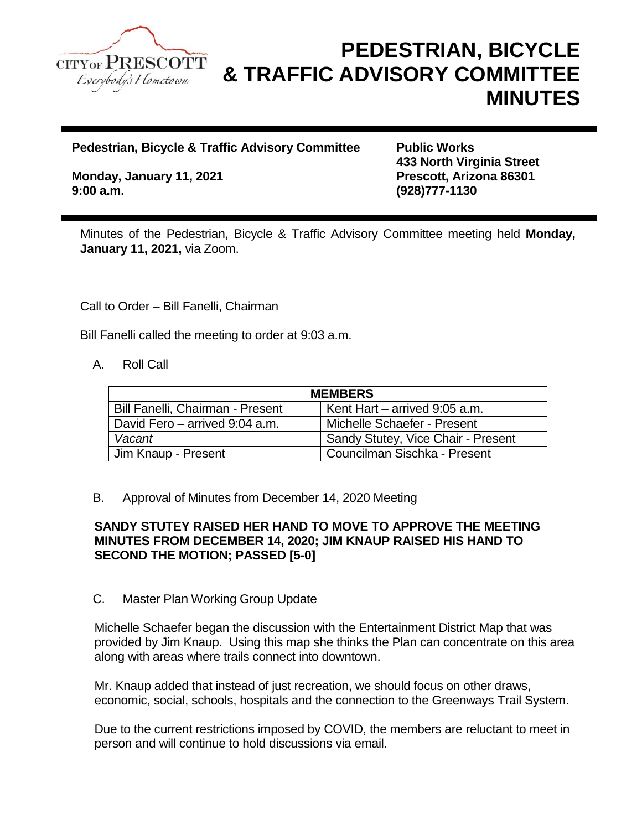

# **PEDESTRIAN, BICYCLE & TRAFFIC ADVISORY COMMITTEE MINUTES**

**Pedestrian, Bicycle & Traffic Advisory Committee Public Works** 

**Monday, January 11, 2021 Prescott, Arizona 86301 9:00 a.m. (928)777-1130**

**433 North Virginia Street**

Minutes of the Pedestrian, Bicycle & Traffic Advisory Committee meeting held **Monday, January 11, 2021,** via Zoom.

Call to Order – Bill Fanelli, Chairman

Bill Fanelli called the meeting to order at 9:03 a.m.

A. Roll Call

| <b>MEMBERS</b>                   |                                    |
|----------------------------------|------------------------------------|
| Bill Fanelli, Chairman - Present | Kent Hart $-$ arrived 9:05 a.m.    |
| David Fero – arrived 9:04 a.m.   | Michelle Schaefer - Present        |
| Vacant                           | Sandy Stutey, Vice Chair - Present |
| Jim Knaup - Present              | Councilman Sischka - Present       |

B. Approval of Minutes from December 14, 2020 Meeting

# **SANDY STUTEY RAISED HER HAND TO MOVE TO APPROVE THE MEETING MINUTES FROM DECEMBER 14, 2020; JIM KNAUP RAISED HIS HAND TO SECOND THE MOTION; PASSED [5-0]**

## C. Master Plan Working Group Update

Michelle Schaefer began the discussion with the Entertainment District Map that was provided by Jim Knaup. Using this map she thinks the Plan can concentrate on this area along with areas where trails connect into downtown.

Mr. Knaup added that instead of just recreation, we should focus on other draws, economic, social, schools, hospitals and the connection to the Greenways Trail System.

Due to the current restrictions imposed by COVID, the members are reluctant to meet in person and will continue to hold discussions via email.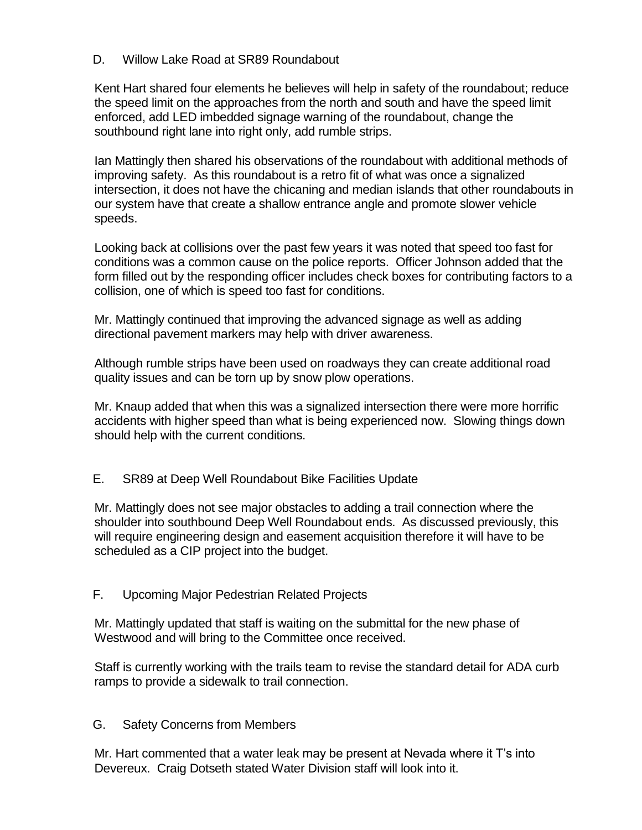# D. Willow Lake Road at SR89 Roundabout

Kent Hart shared four elements he believes will help in safety of the roundabout; reduce the speed limit on the approaches from the north and south and have the speed limit enforced, add LED imbedded signage warning of the roundabout, change the southbound right lane into right only, add rumble strips.

Ian Mattingly then shared his observations of the roundabout with additional methods of improving safety. As this roundabout is a retro fit of what was once a signalized intersection, it does not have the chicaning and median islands that other roundabouts in our system have that create a shallow entrance angle and promote slower vehicle speeds.

Looking back at collisions over the past few years it was noted that speed too fast for conditions was a common cause on the police reports. Officer Johnson added that the form filled out by the responding officer includes check boxes for contributing factors to a collision, one of which is speed too fast for conditions.

Mr. Mattingly continued that improving the advanced signage as well as adding directional pavement markers may help with driver awareness.

Although rumble strips have been used on roadways they can create additional road quality issues and can be torn up by snow plow operations.

Mr. Knaup added that when this was a signalized intersection there were more horrific accidents with higher speed than what is being experienced now. Slowing things down should help with the current conditions.

# E. SR89 at Deep Well Roundabout Bike Facilities Update

Mr. Mattingly does not see major obstacles to adding a trail connection where the shoulder into southbound Deep Well Roundabout ends. As discussed previously, this will require engineering design and easement acquisition therefore it will have to be scheduled as a CIP project into the budget.

## F. Upcoming Major Pedestrian Related Projects

Mr. Mattingly updated that staff is waiting on the submittal for the new phase of Westwood and will bring to the Committee once received.

Staff is currently working with the trails team to revise the standard detail for ADA curb ramps to provide a sidewalk to trail connection.

## G. Safety Concerns from Members

Mr. Hart commented that a water leak may be present at Nevada where it T's into Devereux. Craig Dotseth stated Water Division staff will look into it.